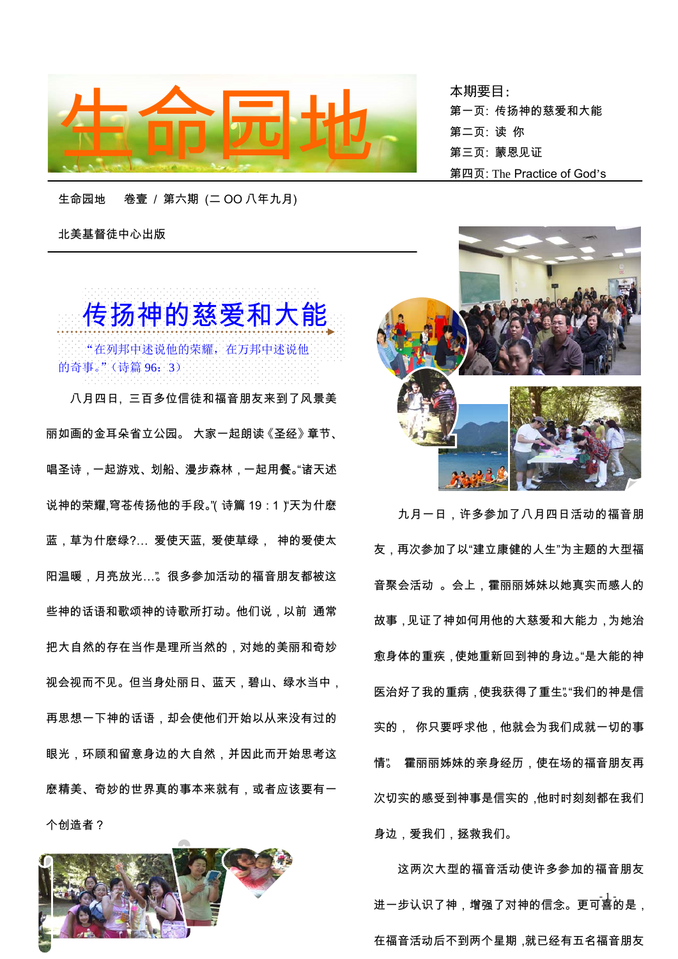

北美基督徒中心出版

 传扬神的慈爱和大能 "在列邦中述说他的荣耀,在万邦中述说他 的奇事。"(诗篇 96:3)

八月四日, 三百多位信徒和福音朋友来到了风景美 丽如画的金耳朵省立公园。 大家一起朗读《圣经》章节、 唱圣诗,一起游戏、划船、漫步森林,一起用餐。"诸天述 说神的荣耀,穹苍传扬他的手段。"(诗篇 19:1) "天为什麽 蓝,草为什麽绿?… 爱使天蓝, 爱使草绿, 神的爱使太 阳温暖,月亮放光…"。很多参加活动的福音朋友都被这 些神的话语和歌颂神的诗歌所打动。他们说,以前 通常 把大自然的存在当作是理所当然的,对她的美丽和奇妙 视会视而不见。但当身处丽日、蓝天,碧山、绿水当中, 再思想一下神的话语,却会使他们开始以从来没有过的 眼光,环顾和留意身边的大自然,并因此而开始思考这 麽精美、奇妙的世界真的事本来就有,或者应该要有一 个创造者?



本期要目: 第一页: 传扬神的慈爱和大能 第二页: 读 你 第四页: The Practice of God's



九月一日,许多参加了八月四日活动的福音朋 友,再次参加了以"建立康健的人生"为主题的大型福 音聚会活动 。会上,霍丽丽姊妹以她真实而感人的 故事,见证了神如何用他的大慈爱和大能力,为她治 愈身体的重疾,使她重新回到神的身边。"是大能的神 医治好了我的重病,使我获得了重生"。"我们的神是信 实的, 你只要呼求他,他就会为我们成就一切的事 情"。 霍丽丽姊妹的亲身经历,使在场的福音朋友再 次切实的感受到神事是信实的,他时时刻刻都在我们 身边,爱我们,拯救我们。

进一步认识了神,增强了对神的信念。更可喜的是, 这两次大型的福音活动使许多参加的福音朋友 在福音活动后不到两个星期,就已经有五名福音朋友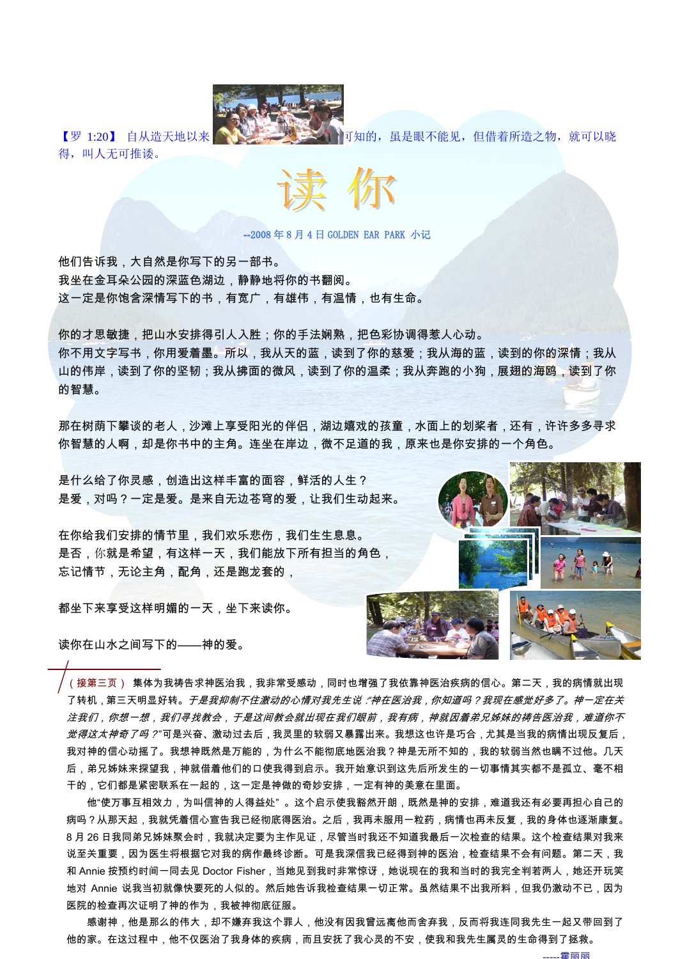

得,叫人无可推诿。

【罗 1:20】 自从造天地以来,神秘关注, 第2022年, 11知的, 虽是眼不能见, 但借着所造之物, 就可以晓



--2008 年 8 月 4 日 GOLDEN EAR PARK 小记

他们告诉我,大自然是你写下的另一部书。 我坐在金耳朵公园的深蓝色湖边,静静地将你的书翻阅。 这一定是你饱含深情写下的书,有宽广,有雄伟,有温情,也有生命。

你的才思敏捷,把山水安排得引人入胜;你的手法娴熟,把色彩协调得惹人心动。 你不用文字写书,你用爱着墨。所以,我从天的蓝,读到了你的慈爱;我从海的蓝,读到的你的深情;我从 山的伟岸,读到了你的坚韧;我从拂面的微风,读到了你的温柔;我从奔跑的小狗,展翅的海鸥,读到了你 的智慧。

那在树荫下攀谈的老人,沙滩上享受阳光的伴侣,湖边嬉戏的孩童,水面上的划桨者,还有,许许多多寻求 你智慧的人啊,却是你书中的主角。连坐在岸边,微不足道的我,原来也是你安排的一个角色。

是什么给了你灵感,创造出这样丰富的面容,鲜活的人生? 是爱,对吗?一定是爱。是来自无边苍穹的爱,让我们生动起来。

在你给我们安排的情节里,我们欢乐悲伤,我们生生息息。 是否,你就是希望,有这样一天,我们能放下所有担当的角色, 忘记情节,无论主角,配角,还是跑龙套的,

都坐下来享受这样明媚的一天,坐下来读你。

读你在山水之间写下的——神的爱。

(接第三页) 集体为我祷告求神医治我,我非常受感动,同时也增强了我依靠神医治疾病的信心。第二天,我的病情就出现 了转机 , 第三天明显好转。*于是我抑制不住激动的心情对我先生说 :"神在医治我 , 你知道吗?我现在感觉好多了。神一定在关* 注我们,你想一想,我们寻找教会,于是这间教会就出现在我们眼前,我有病,神就因着弟兄姊妹的祷告医治我,难道你不 *觉得这太神奇了吗?*"可是兴奋、激动过去后,我灵里的软弱又暴露出来。我想这也许是巧合,尤其是当我的病情出现反复后, 我对神的信心动摇了。我想神既然是万能的,为什么不能彻底地医治我?神是无所不知的,我的软弱当然也瞒不过他。几天 后,弟兄姊妹来探望我,神就借着他们的口使我得到启示。我开始意识到这先后所发生的一切事情其实都不是孤立、毫不相 干的,它们都是紧密联系在一起的,这一定是神做的奇妙安排,一定有神的美意在里面。

地对 Annie 说我当初就像快要死的人似的。然后她告诉我检查结果一切正常。虽然结果不出我所料,但我仍激动不已,因为<br>———————————————————————— 他"使万事互相效力,为叫信神的人得益处" 。这个启示使我豁然开朗,既然是神的安排,难道我还有必要再担心自己的 病吗?从那天起,我就凭着信心宣告我已经彻底得医治。之后,我再未服用一粒药,病情也再未反复,我的身体也逐渐康复。 8 月 26 日我同弟兄姊妹聚会时,我就决定要为主作见证,尽管当时我还不知道我最后一次检查的结果。这个检查结果对我来 说至关重要,因为医生将根据它对我的病作最终诊断。可是我深信我已经得到神的医治,检查结果不会有问题。第二天,我 和 Annie 按预约时间一同去见 Doctor Fisher,当她见到我时非常惊讶,她说现在的我和当时的我完全判若两人,她还开玩笑 医院的检查再次证明了神的作为,我被神彻底征服。

感谢神,他是那么的伟大,却不嫌弃我这个罪人,他没有因我曾远离他而舍弃我,反而将我连同我先生一起又带回到了 他的家。在这过程中,他不仅医治了我身体的疾病,而且安抚了我心灵的不安,使我和我先生属灵的生命得到了拯救。



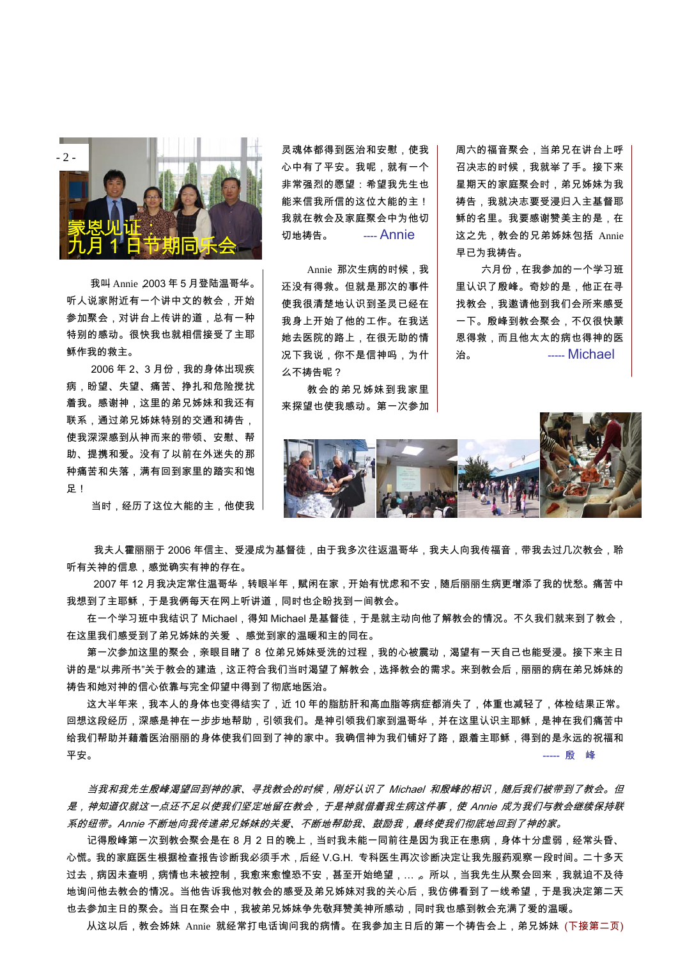

我叫 Annie,2003 年 5 月登陆温哥华。 听人说家附近有一个讲中文的教会,开始 参加聚会,对讲台上传讲的道,总有一种 特别的感动。很快我也就相信接受了主耶 稣作我的救主。

2006 年 2、3 月份,我的身体出现疾 病,盼望、失望、痛苦、挣扎和危险搅扰 着我。感谢神,这里的弟兄姊妹和我还有 联系,通过弟兄姊妹特别的交通和祷告, 使我深深感到从神而来的带领、安慰、帮 助、提携和爱。没有了以前在外迷失的那 种痛苦和失落,满有回到家里的踏实和饱 足!

当时,经历了这位大能的主,他使我

灵魂体都得到医治和安慰,使我 心中有了平安。我呢,就有一个 非常强烈的愿望:希望我先生也 能来信我所信的这位大能的主! 我就在教会及家庭聚会中为他切 切地祷告。 **----- Annie** 

Annie 那次生病的时候, 我 还没有得救。但就是那次的事件 使我很清楚地认识到圣灵已经在 我身上开始了他的工作。在我送 她去医院的路上,在很无助的情 况下我说,你不是信神吗,为什 么不祷告呢?

教会的弟兄姊妹到我家里 来探望也使我感动。第一次参加 周六的福音聚会,当弟兄在讲台上呼 召决志的时候,我就举了手。接下来 星期天的家庭聚会时,弟兄姊妹为我 祷告,我就决志要受浸归入主基督耶 稣的名里。我要感谢赞美主的是,在 这之先,教会的兄弟姊妹包括 Annie 早已为我祷告。

六月份,在我参加的一个学习班 里认识了殷峰。奇妙的是,他正在寻 找教会,我邀请他到我们会所来感受 一下。殷峰到教会聚会,不仅很快蒙 恩得救,而且他太太的病也得神的医 **治。** ----- Michael



我夫人霍丽丽于 2006 年信主、受浸成为基督徒,由于我多次往返温哥华,我夫人向我传福音,带我去过几次教会,聆 听有关神的信息,感觉确实有神的存在。

2007 年 12 月我决定常住温哥华,转眼半年,赋闲在家,开始有忧虑和不安,随后丽丽生病更增添了我的忧愁。痛苦中 我想到了主耶稣,于是我俩每天在网上听讲道,同时也企盼找到一间教会。

在一个学习班中我结识了 Michael,得知 Michael 是基督徒,于是就主动向他了解教会的情况。不久我们就来到了教会, 在这里我们感受到了弟兄姊妹的关爱 、感觉到家的温暖和主的同在。

第一次参加这里的聚会,亲眼目睹了 8 位弟兄姊妹受洗的过程,我的心被震动,渴望有一天自己也能受浸。接下来主日 讲的是"以弗所书"关于教会的建造,这正符合我们当时渴望了解教会,选择教会的需求。来到教会后,丽丽的病在弟兄姊妹的 祷告和她对神的信心依靠与完全仰望中得到了彻底地医治。

 这大半年来,我本人的身体也变得结实了,近 10 年的脂肪肝和高血脂等病症都消失了,体重也减轻了,体检结果正常。 回想这段经历,深感是神在一步步地帮助,引领我们。是神引领我们家到温哥华,并在这里认识主耶稣,是神在我们痛苦中 给我们帮助并藉着医治丽丽的身体使我们回到了神的家中。我确信神为我们铺好了路,跟着主耶稣,得到的是永远的祝福和 平安。 ----- 殷 峰

当我和我先生殷峰渴望回到神的家、寻找教会的时候,刚好认识了 Michael 和殷峰的相识,随后我们被带到了教会。但 是,神知道仅就这一点还不足以使我们坚定地留在教会,于是神就借着我生病这件事,使 Annie 成为我们与教会继续保持联 系的纽带。Annie 不断地向我传递弟兄姊妹的关爱、不断地帮助我、鼓励我,最终使我们彻底地回到了神的家。

地询问他去教会的情况。当他告诉我他对教会的感受及弟兄姊妹对我的关心后,我仿佛看到了一线希望,于是我决定第二天<br>———————————————————— 记得殷峰第一次到教会聚会是在 8 月 2 日的晚上,当时我未能一同前往是因为我正在患病,身体十分虚弱,经常头昏、 心慌。我的家庭医生根据检查报告诊断我必须手术,后经 V.G.H. 专科医生再次诊断决定让我先服药观察一段时间。二十多天 过去,病因未查明,病情也未被控制,我愈来愈惶恐不安,甚至开始绝望,…,。所以,当我先生从聚会回来,我就迫不及待 也去参加主日的聚会。当日在聚会中,我被弟兄姊妹争先敬拜赞美神所感动,同时我也感到教会充满了爱的温暖。

从这以后,教会姊妹 Annie 就经常打电话询问我的病情。在我参加主日后的第一个祷告会上,弟兄姊妹 (下接第二页)